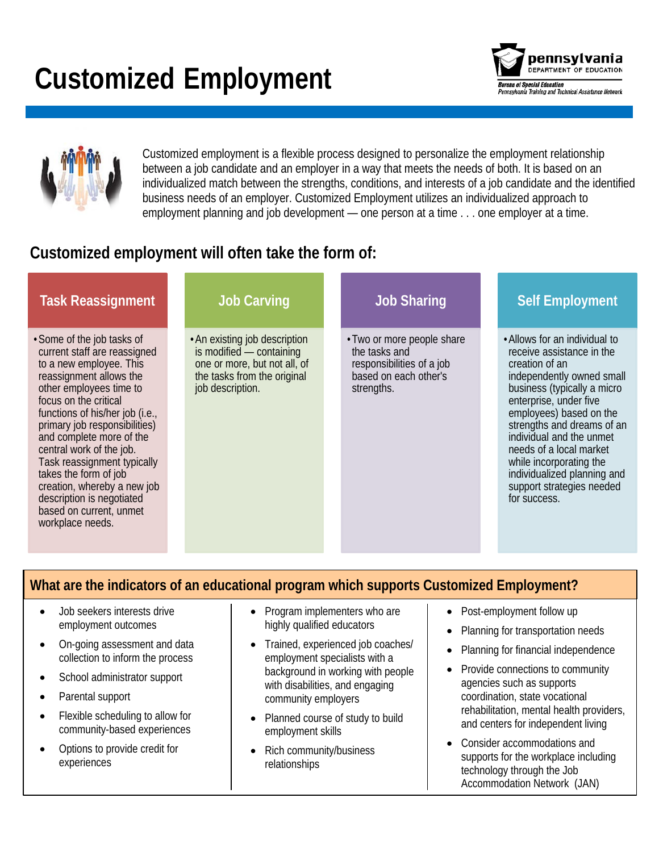# **Customized Employment**



Customized employment is a flexible process designed to personalize the employment relationship between a job candidate and an employer in a way that meets the needs of both. It is based on an individualized match between the strengths, conditions, and interests of a job candidate and the identified business needs of an employer. Customized Employment utilizes an individualized approach to employment planning and job development — one person at a time . . . one employer at a time.

# **Customized employment will often take the form of:**

| <b>Task Reassignment</b>                                                                                                                                                                                                                                                                                                                                                                                                                                            | <b>Job Carving</b>                                                                                                                           | <b>Job Sharing</b>                                                                                              | <b>Self Employment</b>                                                                                                                                                                                                                                                                                                                                                                    |
|---------------------------------------------------------------------------------------------------------------------------------------------------------------------------------------------------------------------------------------------------------------------------------------------------------------------------------------------------------------------------------------------------------------------------------------------------------------------|----------------------------------------------------------------------------------------------------------------------------------------------|-----------------------------------------------------------------------------------------------------------------|-------------------------------------------------------------------------------------------------------------------------------------------------------------------------------------------------------------------------------------------------------------------------------------------------------------------------------------------------------------------------------------------|
| • Some of the job tasks of<br>current staff are reassigned<br>to a new employee. This<br>reassignment allows the<br>other employees time to<br>focus on the critical<br>functions of his/her job (i.e.,<br>primary job responsibilities)<br>and complete more of the<br>central work of the job.<br>Task reassignment typically<br>takes the form of job<br>creation, whereby a new job<br>description is negotiated<br>based on current, unmet<br>workplace needs. | • An existing job description<br>is modified - containing<br>one or more, but not all, of<br>the tasks from the original<br>job description. | • Two or more people share<br>the tasks and<br>responsibilities of a job<br>based on each other's<br>strengths. | • Allows for an individual to<br>receive assistance in the<br>creation of an<br>independently owned small<br>business (typically a micro<br>enterprise, under five<br>employees) based on the<br>strengths and dreams of an<br>individual and the unmet<br>needs of a local market<br>while incorporating the<br>individualized planning and<br>support strategies needed<br>for success. |

### **What are the indicators of an educational program which supports Customized Employment?**

- Job seekers interests drive employment outcomes
- On-going assessment and data collection to inform the process
- School administrator support
- Parental support
- Flexible scheduling to allow for community-based experiences
- Options to provide credit for experiences
- Program implementers who are highly qualified educators
- Trained, experienced job coaches/ employment specialists with a background in working with people with disabilities, and engaging community employers
- Planned course of study to build employment skills
- Rich community/business relationships
- Post-employment follow up
- Planning for transportation needs
- Planning for financial independence
- Provide connections to community agencies such as supports coordination, state vocational rehabilitation, mental health providers, and centers for independent living
- Consider accommodations and supports for the workplace including technology through the Job Accommodation Network (JAN)